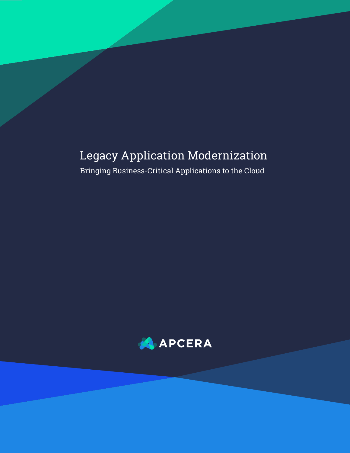# Legacy Application Modernization

Bringing Business-Critical Applications to the Cloud

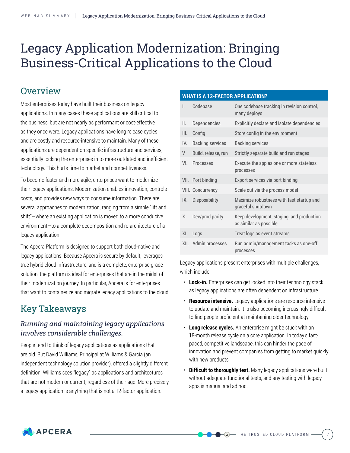# Legacy Application Modernization: Bringing Business-Critical Applications to the Cloud

# **Overview**

Most enterprises today have built their business on legacy applications. In many cases these applications are still critical to the business, but are not nearly as performant or cost-effective as they once were. Legacy applications have long release cycles and are costly and resource-intensive to maintain. Many of these applications are dependent on specific infrastructure and services, essentially locking the enterprises in to more outdated and inefficient technology. This hurts time to market and competitiveness.

To become faster and more agile, enterprises want to modernize their legacy applications. Modernization enables innovation, controls costs, and provides new ways to consume information. There are several approaches to modernization, ranging from a simple "lift and shift"—where an existing application is moved to a more conducive environment—to a complete decomposition and re-architecture of a legacy application.

The Apcera Platform is designed to support both cloud-native and legacy applications. Because Apcera is secure by default, leverages true hybrid cloud infrastructure, and is a complete, enterprise-grade solution, the platform is ideal for enterprises that are in the midst of their modernization journey. In particular, Apcera is for enterprises that want to containerize and migrate legacy applications to the cloud.

# Key Takeaways

# *Running and maintaining legacy applications involves considerable challenges.*

People tend to think of legacy applications as applications that are old. But David Williams, Principal at Williams & Garcia (an independent technology solution provider), offered a slightly different definition. Williams sees "legacy" as applications and architectures that are not modern or current, regardless of their age. More precisely, a legacy application is anything that is not a 12-factor application.

#### **What is a 12-factor application?**

| L    | Codebase                 | One codebase tracking in revision control,<br>many deploys          |
|------|--------------------------|---------------------------------------------------------------------|
| II.  | <b>Dependencies</b>      | Explicitly declare and isolate dependencies                         |
| III. | Config                   | Store config in the environment                                     |
| IV.  | <b>Backing services</b>  | <b>Backing services</b>                                             |
| V.   | Build, release, run      | Strictly separate build and run stages                              |
| VI.  | <b>Processes</b>         | Execute the app as one or more stateless<br>processes               |
|      | VII. Port binding        | Export services via port binding                                    |
|      | <b>VIII. Concurrency</b> | Scale out via the process model                                     |
| IX.  | <b>Disposability</b>     | Maximize robustness with fast startup and<br>graceful shutdown      |
| Χ.   | Dev/prod parity          | Keep development, staging, and production<br>as similar as possible |
| XI.  | Logs                     | Treat logs as event streams                                         |
|      | XII. Admin processes     | Run admin/management tasks as one-off<br>processes                  |

Legacy applications present enterprises with multiple challenges, which include:

- **Lock-in.** Enterprises can get locked into their technology stack as legacy applications are often dependent on infrastructure.
- **Resource intensive.** Legacy applications are resource intensive to update and maintain. It is also becoming increasingly difficult to find people proficient at maintaining older technology.
- **Long release cycles.** An enterprise might be stuck with an 18-month release cycle on a core application. In today's fastpaced, competitive landscape, this can hinder the pace of innovation and prevent companies from getting to market quickly with new products.
- **Difficult to thoroughly test.** Many legacy applications were built without adequate functional tests, and any testing with legacy apps is manual and ad hoc.

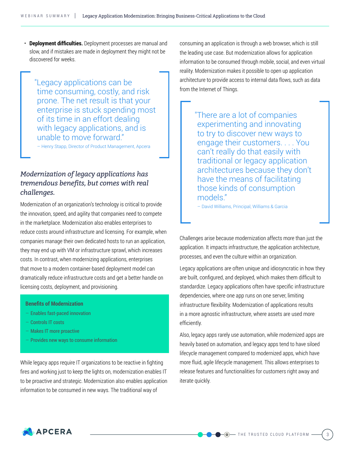• **Deployment difficulties.** Deployment processes are manual and slow, and if mistakes are made in deployment they might not be discovered for weeks.

"Legacy applications can be time consuming, costly, and risk prone. The net result is that your enterprise is stuck spending most of its time in an effort dealing with legacy applications, and is unable to move forward."

– Henry Stapp, Director of Product Management, Apcera

# *Modernization of legacy applications has tremendous benefits, but comes with real challenges.*

Modernization of an organization's technology is critical to provide the innovation, speed, and agility that companies need to compete in the marketplace. Modernization also enables enterprises to reduce costs around infrastructure and licensing. For example, when companies manage their own dedicated hosts to run an application, they may end up with VM or infrastructure sprawl, which increases costs. In contrast, when modernizing applications, enterprises that move to a modern container-based deployment model can dramatically reduce infrastructure costs and get a better handle on licensing costs, deployment, and provisioning.

#### **Benefits of Modernization**

- Enables fast-paced innovation
- Controls IT costs
- Makes IT more proactive
- Provides new ways to consume information

While legacy apps require IT organizations to be reactive in fighting fires and working just to keep the lights on, modernization enables IT to be proactive and strategic. Modernization also enables application information to be consumed in new ways. The traditional way of

consuming an application is through a web browser, which is still the leading use case. But modernization allows for application information to be consumed through mobile, social, and even virtual reality. Modernization makes it possible to open up application architecture to provide access to internal data flows, such as data from the Internet of Things.

> "There are a lot of companies experimenting and innovating to try to discover new ways to engage their customers. . . . You can't really do that easily with traditional or legacy application architectures because they don't have the means of facilitating those kinds of consumption models."

– David Williams, Principal, Williams & Garcia

Challenges arise because modernization affects more than just the application. It impacts infrastructure, the application architecture, processes, and even the culture within an organization.

Legacy applications are often unique and idiosyncratic in how they are built, configured, and deployed, which makes them difficult to standardize. Legacy applications often have specific infrastructure dependencies, where one app runs on one server, limiting infrastructure flexibility. Modernization of applications results in a more agnostic infrastructure, where assets are used more efficiently.

Also, legacy apps rarely use automation, while modernized apps are heavily based on automation, and legacy apps tend to have siloed lifecycle management compared to modernized apps, which have more fluid, agile lifecycle management. This allows enterprises to release features and functionalities for customers right away and iterate quickly.

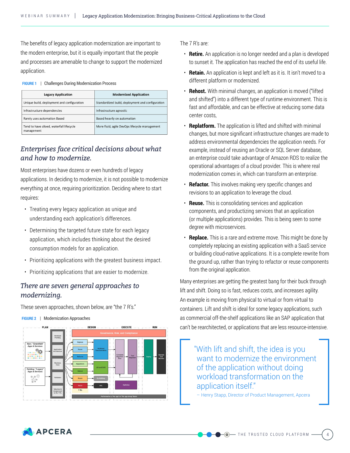The benefits of legacy application modernization are important to the modern enterprise, but it is equally important that the people and processes are amenable to change to support the modernized application.

**Figure 1** | Challenges During Modernization Process

| <b>Legacy Application</b>                              | <b>Modernized Application</b>                    |
|--------------------------------------------------------|--------------------------------------------------|
| Unique build, deployment and configuration             | Standardized build, deployment and configuration |
| Infrastructure dependencies                            | Infrastructure agnostic                          |
| Rarely uses automation Based                           | Based heavily on automation                      |
| Tend to have siloed, waterfall lifecycle<br>management | More fluid, agile DevOps lifecycle management    |

### *Enterprises face critical decisions about what and how to modernize.*

Most enterprises have dozens or even hundreds of legacy applications. In deciding to modernize, it is not possible to modernize everything at once, requiring prioritization. Deciding where to start requires:

- Treating every legacy application as unique and understanding each application's differences.
- Determining the targeted future state for each legacy application, which includes thinking about the desired consumption models for an application.
- Prioritizing applications with the greatest business impact.
- Prioritizing applications that are easier to modernize.

### *There are seven general approaches to modernizing.*

These seven approaches, shown below, are "the 7 R's."



#### **Figure 2** | Modernization Approaches

The 7 R's are:

- **Retire.** An application is no longer needed and a plan is developed to sunset it. The application has reached the end of its useful life.
- **Retain.** An application is kept and left as it is. It isn't moved to a different platform or modernized.
- **Rehost.** With minimal changes, an application is moved ("lifted and shifted") into a different type of runtime environment. This is fast and affordable, and can be effective at reducing some data center costs,
- **Replatform.** The application is lifted and shifted with minimal changes, but more significant infrastructure changes are made to address environmental dependencies the application needs. For example, instead of reusing an Oracle or SQL Server database, an enterprise could take advantage of Amazon RDS to realize the operational advantages of a cloud provider. This is where real modernization comes in, which can transform an enterprise.
- **Refactor.** This involves making very specific changes and revisions to an application to leverage the cloud.
- **Reuse.** This is consolidating services and application components, and productizing services that an application (or multiple applications) provides. This is being seen to some degree with microservices.
- **Replace.** This is a rare and extreme move. This might be done by completely replacing an existing application with a SaaS service or building cloud-native applications. It is a complete rewrite from the ground up, rather than trying to refactor or reuse components from the original application.

Many enterprises are getting the greatest bang for their buck through lift and shift. Doing so is fast, reduces costs, and increases agility. An example is moving from physical to virtual or from virtual to containers. Lift and shift is ideal for some legacy applications, such as commercial off-the-shelf applications like an SAP application that can't be rearchitected, or applications that are less resource-intensive.

"With lift and shift, the idea is you want to modernize the environment of the application without doing workload transformation on the application itself."

– Henry Stapp, Director of Product Management, Apcera

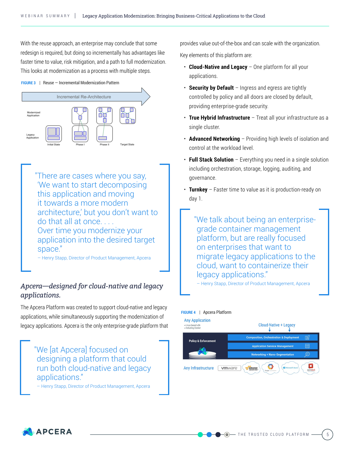With the reuse approach, an enterprise may conclude that some redesign is required, but doing so incrementally has advantages like faster time to value, risk mitigation, and a path to full modernization. This looks at modernization as a process with multiple steps.

**Figure 3** | Reuse — Incremental Modernization Pattern



"There are cases where you say, 'We want to start decomposing this application and moving it towards a more modern architecture,' but you don't want to do that all at once.... Over time you modernize your application into the desired target space."

– Henry Stapp, Director of Product Management, Apcera

# *Apcera—designed for cloud-native and legacy applications.*

The Apcera Platform was created to support cloud-native and legacy applications, while simultaneously supporting the modernization of legacy applications. Apcera is the only enterprise-grade platform that

"We [at Apcera] focused on designing a platform that could run both cloud-native and legacy applications."

– Henry Stapp, Director of Product Management, Apcera

provides value out-of-the-box and can scale with the organization.

Key elements of this platform are:

- **Cloud-Native and Legacy** One platform for all your applications.
- **Security by Default** Ingress and egress are tightly controlled by policy and all doors are closed by default, providing enterprise-grade security.
- **True Hybrid Infrastructure**  Treat all your infrastructure as a single cluster.
- **Advanced Networking**  Providing high levels of isolation and control at the workload level.
- **Full Stack Solution** Everything you need in a single solution including orchestration, storage, logging, auditing, and governance.
- **Turnkey** Faster time to value as it is production-ready on day 1.

"We talk about being an enterprisegrade container management platform, but are really focused on enterprises that want to migrate legacy applications to the cloud, want to containerize their legacy applications."

– Henry Stapp, Director of Product Management, Apcera

#### **Figure 4** | Apcera Platform